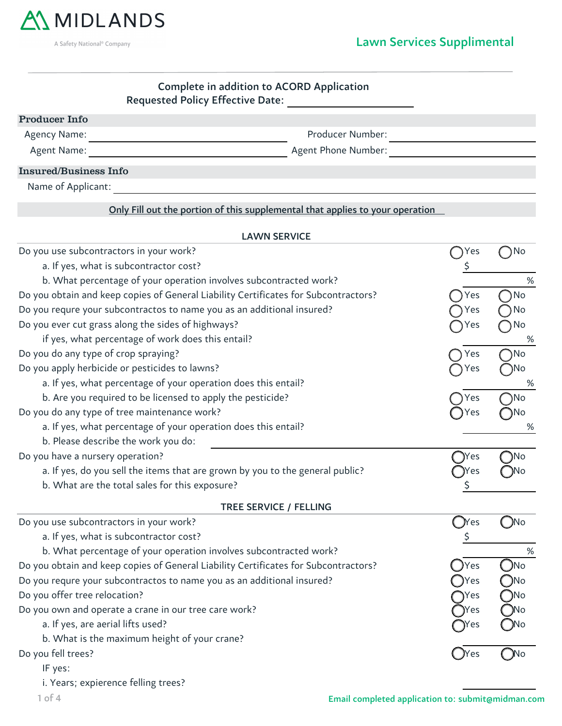

A Safety National<sup>®</sup> Company

## Lawn Services Supplimental

## Requested Policy Effective Date: Complete in addition to ACORD Application

| <b>Producer Info</b>         |                     |  |
|------------------------------|---------------------|--|
| Agency Name:                 | Producer Number:    |  |
| Agent Name:                  | Agent Phone Number: |  |
| <b>Insured/Business Info</b> |                     |  |
| Name of Applicant:           |                     |  |

## Only Fill out the portion of this supplemental that applies to your operation

| <b>LAWN SERVICE</b>                                                                 |        |            |  |  |
|-------------------------------------------------------------------------------------|--------|------------|--|--|
| Do you use subcontractors in your work?                                             |        | No         |  |  |
| a. If yes, what is subcontractor cost?                                              | \$     |            |  |  |
| b. What percentage of your operation involves subcontracted work?                   |        | %          |  |  |
| Do you obtain and keep copies of General Liability Certificates for Subcontractors? | Yes    | No         |  |  |
| Do you requre your subcontractos to name you as an additional insured?              | Yes    | No         |  |  |
| Do you ever cut grass along the sides of highways?                                  | Yes    | No         |  |  |
| if yes, what percentage of work does this entail?                                   |        | %          |  |  |
| Do you do any type of crop spraying?                                                | Yes    | No         |  |  |
| Do you apply herbicide or pesticides to lawns?                                      | Yes    | ۱No        |  |  |
| a. If yes, what percentage of your operation does this entail?                      |        | %          |  |  |
| b. Are you required to be licensed to apply the pesticide?                          | Yes    | )No        |  |  |
| Do you do any type of tree maintenance work?                                        | Yes    | No         |  |  |
| a. If yes, what percentage of your operation does this entail?                      |        | %          |  |  |
| b. Please describe the work you do:                                                 |        |            |  |  |
| Do you have a nursery operation?                                                    | - yes  | ۱No        |  |  |
| a. If yes, do you sell the items that are grown by you to the general public?       | Yes    |            |  |  |
| b. What are the total sales for this exposure?                                      | Ş      |            |  |  |
| TREE SERVICE / FELLING                                                              |        |            |  |  |
| Do you use subcontractors in your work?                                             | (`)Yes | $\n  No\n$ |  |  |
| a. If yes, what is subcontractor cost?                                              |        |            |  |  |
| b. What percentage of your operation involves subcontracted work?                   |        | %          |  |  |
| Do you obtain and keep copies of General Liability Certificates for Subcontractors? | Yes    | No         |  |  |
| Do you requre your subcontractos to name you as an additional insured?              | Yes    | No         |  |  |
| Do you offer tree relocation?                                                       | Yes    | Νo         |  |  |
| Do you own and operate a crane in our tree care work?                               | Yes    |            |  |  |
| a. If yes, are aerial lifts used?                                                   | Yes    |            |  |  |
| b. What is the maximum height of your crane?                                        |        |            |  |  |
| Do you fell trees?                                                                  | Yes    | No         |  |  |
| IF yes:                                                                             |        |            |  |  |

i. Years; expierence felling trees?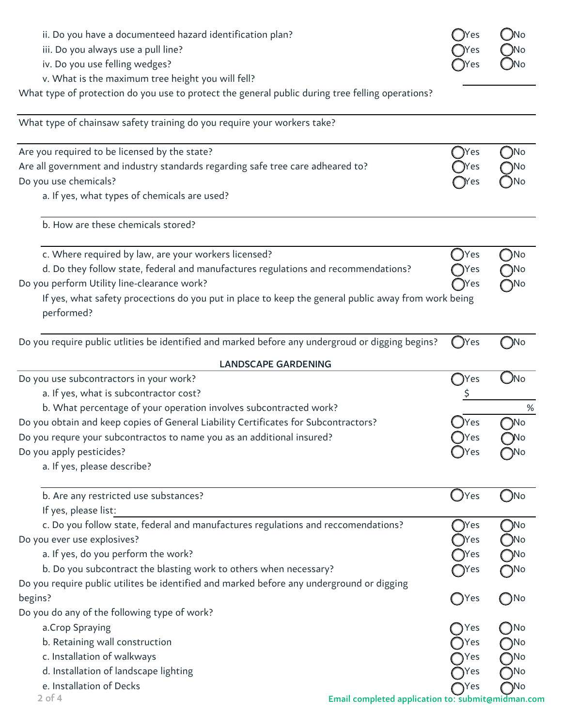| ii. Do you have a documenteed hazard identification plan?<br>iii. Do you always use a pull line?                  | <b>JYes</b>    | ( )No                  |
|-------------------------------------------------------------------------------------------------------------------|----------------|------------------------|
| iv. Do you use felling wedges?                                                                                    | Yes<br>)Yes    | ( )No<br>$\bigcirc$ No |
| v. What is the maximum tree height you will fell?                                                                 |                |                        |
| What type of protection do you use to protect the general public during tree felling operations?                  |                |                        |
| What type of chainsaw safety training do you require your workers take?                                           |                |                        |
|                                                                                                                   |                |                        |
| Are you required to be licensed by the state?                                                                     | $\bigcirc$ Yes | $\bigcirc$ No          |
| Are all government and industry standards regarding safe tree care adheared to?                                   | )Yes           | つNo                    |
| Do you use chemicals?                                                                                             | <b>Yes</b>     | -)No                   |
| a. If yes, what types of chemicals are used?                                                                      |                |                        |
| b. How are these chemicals stored?                                                                                |                |                        |
| c. Where required by law, are your workers licensed?                                                              | Yes            | $\bigcirc$ No          |
| d. Do they follow state, federal and manufactures regulations and recommendations?                                | <b>T</b> Yes   | $\bigcap$ No           |
| Do you perform Utility line-clearance work?                                                                       | $\gamma$ Yes   | $\bigcap$ No           |
| If yes, what safety procections do you put in place to keep the general public away from work being<br>performed? |                |                        |
| Do you require public utlities be identified and marked before any undergroud or digging begins?                  | ( )Yes         | ( )No                  |
| <b>LANDSCAPE GARDENING</b>                                                                                        |                |                        |
| Do you use subcontractors in your work?                                                                           | $\bigcap$ Yes  | $\bigcirc$ No          |
| a. If yes, what is subcontractor cost?                                                                            |                |                        |
| b. What percentage of your operation involves subcontracted work?                                                 |                | $\%$                   |
| Do you obtain and keep copies of General Liability Certificates for Subcontractors?                               | Yes            | No                     |
| Do you requre your subcontractos to name you as an additional insured?                                            | )Yes           | ( )No                  |
| Do you apply pesticides?                                                                                          | Yes            |                        |
| a. If yes, please describe?                                                                                       |                |                        |
| b. Are any restricted use substances?                                                                             | Yes<br>$\cup$  | ( )No                  |
| If yes, please list:                                                                                              |                |                        |
| c. Do you follow state, federal and manufactures regulations and reccomendations?                                 | $\bigcirc$ Yes | $\bigcap$ No           |
| Do you ever use explosives?                                                                                       | <b>Yes</b>     | DNo J                  |
| a. If yes, do you perform the work?                                                                               | <b>T</b> Yes   | $\bigcirc$ No          |
| b. Do you subcontract the blasting work to others when necessary?                                                 | $\gamma$ Yes   | $\bigcirc$ No          |
| Do you require public utilites be identified and marked before any underground or digging                         |                |                        |
| begins?                                                                                                           | $\bigcirc$ Yes | $\bigcirc$ No          |
| Do you do any of the following type of work?                                                                      |                |                        |
| a.Crop Spraying                                                                                                   | Yes            | $\bigcap$ No           |
| b. Retaining wall construction                                                                                    | $\bigcap$ Yes  | $\bigcirc$ No          |
| c. Installation of walkways                                                                                       | Yes            |                        |
| d. Installation of landscape lighting                                                                             | <b>T</b> Yes   | $\neg$ No              |
| e. Installation of Decks                                                                                          | <b>TYes</b>    | $\bigcap$ No           |
| $2$ of 4<br>Email completed application to: submit@midman.com                                                     |                |                        |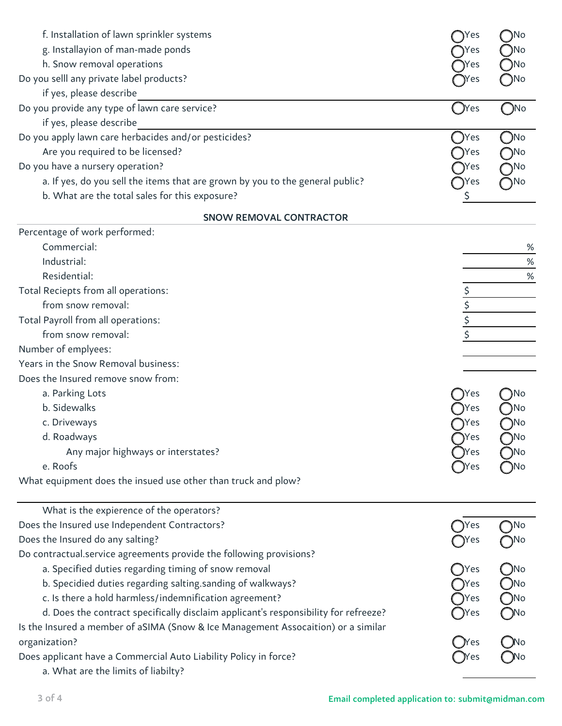| f. Installation of lawn sprinkler systems                                           | Yes                | ∩No           |
|-------------------------------------------------------------------------------------|--------------------|---------------|
| g. Installayion of man-made ponds                                                   | Yes                | )No           |
| h. Snow removal operations                                                          | Yes)               | )No           |
| Do you selll any private label products?                                            | Yes                | Mo)           |
| if yes, please describe                                                             |                    |               |
| Do you provide any type of lawn care service?                                       | $\bigcap$ Yes      | $\bigcirc$ No |
| if yes, please describe                                                             |                    |               |
| Do you apply lawn care herbacides and/or pesticides?                                | Yes                | $\neg$ No     |
| Are you required to be licensed?                                                    | Yes                | 7No           |
| Do you have a nursery operation?                                                    | Yes                | ٦N٥           |
| a. If yes, do you sell the items that are grown by you to the general public?       | Yes                | ิ∕No          |
| b. What are the total sales for this exposure?                                      | \$                 |               |
| <b>SNOW REMOVAL CONTRACTOR</b>                                                      |                    |               |
| Percentage of work performed:                                                       |                    |               |
| Commercial:                                                                         |                    | %             |
| Industrial:                                                                         |                    | $\%$          |
| Residential:                                                                        |                    | $\%$          |
| Total Reciepts from all operations:                                                 |                    |               |
| from snow removal:                                                                  | \$                 |               |
| Total Payroll from all operations:                                                  | \$                 |               |
| from snow removal:                                                                  |                    |               |
| Number of emplyees:                                                                 |                    |               |
| Years in the Snow Removal business:                                                 |                    |               |
| Does the Insured remove snow from:                                                  |                    |               |
| a. Parking Lots                                                                     | Yes                | )No           |
| b. Sidewalks                                                                        | Yes                | ۱No           |
| c. Driveways                                                                        | Yes                | )No           |
| d. Roadways                                                                         | )Yes               | 7No           |
| Any major highways or interstates?                                                  | 'es                | ۱No           |
| e. Roofs                                                                            |                    |               |
| What equipment does the insued use other than truck and plow?                       |                    |               |
| What is the expierence of the operators?                                            |                    |               |
| Does the Insured use Independent Contractors?                                       | Yes                | $\neg$ No     |
| Does the Insured do any salting?                                                    | Yes                | ๅNo           |
| Do contractual.service agreements provide the following provisions?                 |                    |               |
| a. Specified duties regarding timing of snow removal                                | ( )Yes             | -)No          |
| b. Specidied duties regarding salting.sanding of walkways?                          | Yes                | )No           |
| c. Is there a hold harmless/indemnification agreement?                              | Yes                | $\n  o$       |
| d. Does the contract specifically disclaim applicant's responsibility for refreeze? | Yes                | ⊃No           |
| Is the Insured a member of aSIMA (Snow & Ice Management Assocaition) or a similar   |                    |               |
| organization?                                                                       |                    |               |
| Does applicant have a Commercial Auto Liability Policy in force?                    | _Nes<br>__<br>)Yes |               |
| a. What are the limits of liabilty?                                                 |                    |               |